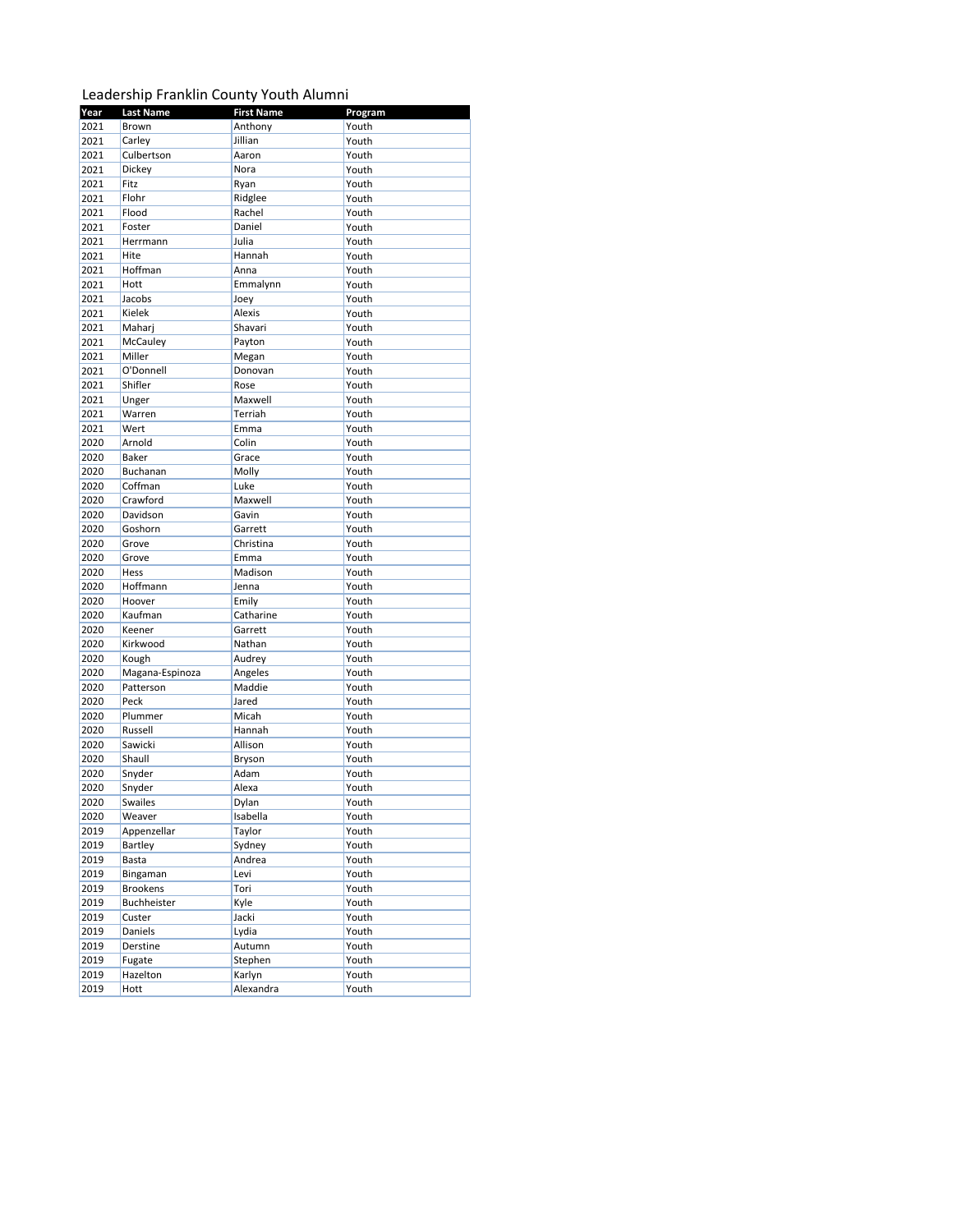## Leadership Franklin County Youth Alumni

| Year | <b>Last Name</b> | <b>First Name</b> | Program |
|------|------------------|-------------------|---------|
| 2021 | Brown            | Anthony           | Youth   |
| 2021 | Carley           | Jillian           | Youth   |
| 2021 | Culbertson       | Aaron             | Youth   |
| 2021 | Dickey           | Nora              | Youth   |
| 2021 | Fitz             | Ryan              | Youth   |
| 2021 | Flohr            | Ridglee           | Youth   |
| 2021 | Flood            | Rachel            | Youth   |
| 2021 | Foster           | Daniel            | Youth   |
| 2021 | Herrmann         | Julia             | Youth   |
| 2021 | Hite             | Hannah            | Youth   |
| 2021 | Hoffman          | Anna              | Youth   |
| 2021 | Hott             | Emmalynn          | Youth   |
| 2021 | Jacobs           | Joey              | Youth   |
| 2021 | Kielek           | Alexis            | Youth   |
| 2021 | Maharj           | Shavari           | Youth   |
| 2021 | McCauley         | Payton            | Youth   |
| 2021 | Miller           | Megan             | Youth   |
| 2021 | O'Donnell        |                   | Youth   |
|      |                  | Donovan           |         |
| 2021 | Shifler          | Rose              | Youth   |
| 2021 | Unger            | Maxwell           | Youth   |
| 2021 | Warren           | Terriah           | Youth   |
| 2021 | Wert             | Emma              | Youth   |
| 2020 | Arnold           | Colin             | Youth   |
| 2020 | <b>Baker</b>     | Grace             | Youth   |
| 2020 | Buchanan         | Molly             | Youth   |
| 2020 | Coffman          | Luke              | Youth   |
| 2020 | Crawford         | Maxwell           | Youth   |
| 2020 | Davidson         | Gavin             | Youth   |
| 2020 | Goshorn          | Garrett           | Youth   |
| 2020 | Grove            | Christina         | Youth   |
| 2020 | Grove            | Emma              | Youth   |
| 2020 | Hess             | Madison           | Youth   |
| 2020 | Hoffmann         | Jenna             | Youth   |
| 2020 | Hoover           | Emily             | Youth   |
| 2020 | Kaufman          | Catharine         | Youth   |
| 2020 | Keener           | Garrett           | Youth   |
| 2020 | Kirkwood         | Nathan            | Youth   |
| 2020 | Kough            | Audrey            | Youth   |
| 2020 | Magana-Espinoza  | Angeles           | Youth   |
| 2020 | Patterson        | Maddie            | Youth   |
| 2020 | Peck             | Jared             | Youth   |
| 2020 | Plummer          | Micah             | Youth   |
| 2020 | Russell          | Hannah            | Youth   |
| 2020 | Sawicki          | Allison           | Youth   |
| 2020 | Shaull           | Bryson            | Youth   |
| 2020 | Snyder           | Adam              | Youth   |
| 2020 | Snyder           | Alexa             | Youth   |
| 2020 | <b>Swailes</b>   | Dylan             | Youth   |
|      |                  |                   |         |
| 2020 | Weaver           | Isabella          | Youth   |
| 2019 | Appenzellar      | Taylor            | Youth   |
| 2019 | Bartley          | Sydney            | Youth   |
| 2019 | Basta            | Andrea            | Youth   |
| 2019 | Bingaman         | Levi              | Youth   |
| 2019 | <b>Brookens</b>  | Tori              | Youth   |
| 2019 | Buchheister      | Kyle              | Youth   |
| 2019 | Custer           | Jacki             | Youth   |
| 2019 | Daniels          | Lydia             | Youth   |
| 2019 | Derstine         | Autumn            | Youth   |
| 2019 | Fugate           | Stephen           | Youth   |
| 2019 | Hazelton         | Karlyn            | Youth   |
| 2019 | Hott             | Alexandra         | Youth   |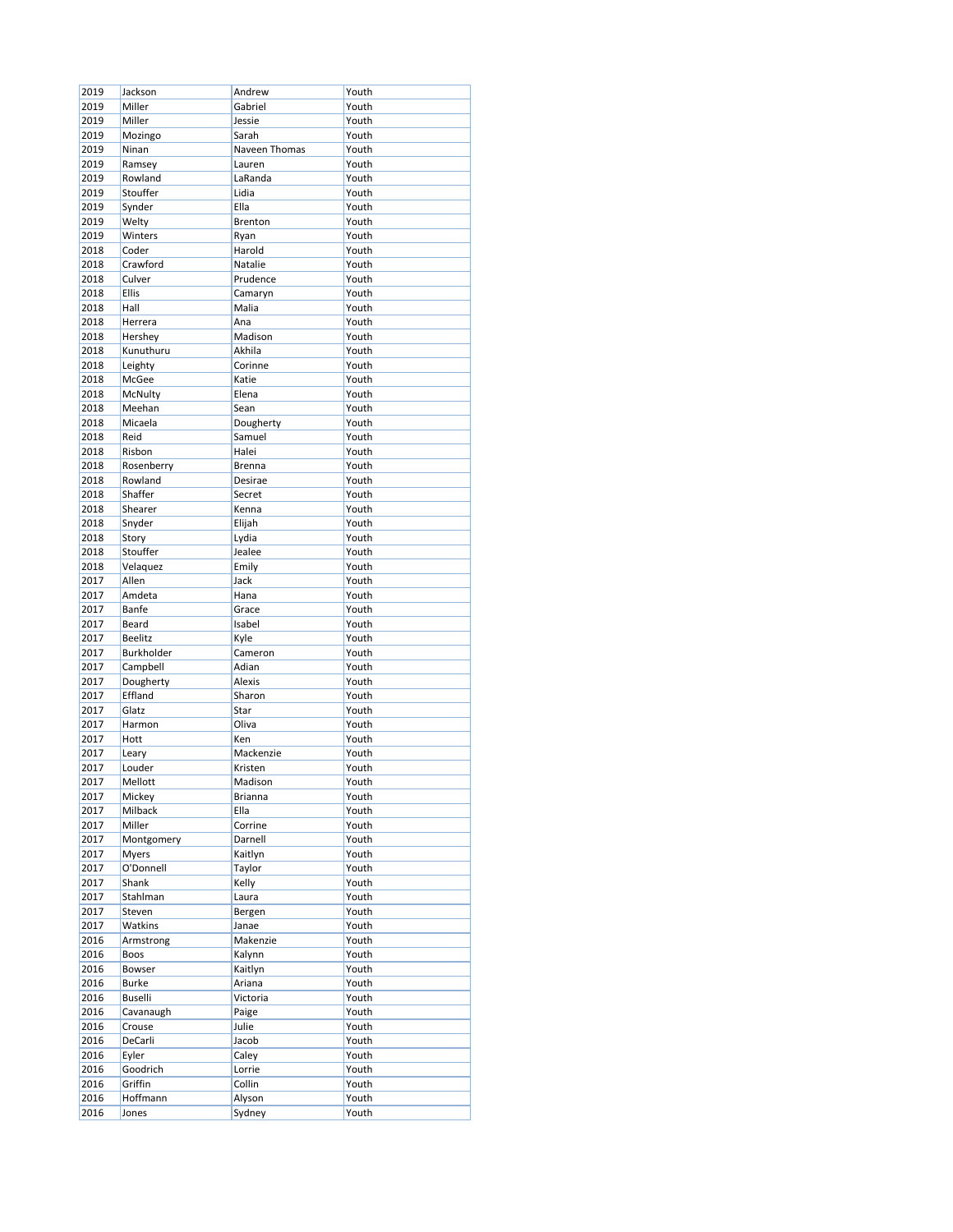| 2019 | Jackson        | Andrew         | Youth |
|------|----------------|----------------|-------|
|      |                |                |       |
| 2019 | Miller         | Gabriel        | Youth |
| 2019 | Miller         | Jessie         | Youth |
| 2019 | Mozingo        | Sarah          | Youth |
| 2019 | Ninan          | Naveen Thomas  | Youth |
|      |                |                |       |
| 2019 | Ramsey         | Lauren         | Youth |
| 2019 | Rowland        | LaRanda        | Youth |
| 2019 | Stouffer       | Lidia          | Youth |
| 2019 | Synder         | Ella           | Youth |
|      |                |                |       |
| 2019 | Welty          | Brenton        | Youth |
| 2019 | Winters        | Ryan           | Youth |
| 2018 | Coder          | Harold         | Youth |
| 2018 | Crawford       | Natalie        | Youth |
|      |                |                |       |
| 2018 | Culver         | Prudence       | Youth |
| 2018 | Ellis          | Camaryn        | Youth |
| 2018 | Hall           | Malia          | Youth |
| 2018 | Herrera        | Ana            | Youth |
|      |                |                |       |
| 2018 | Hershey        | Madison        | Youth |
| 2018 | Kunuthuru      | Akhila         | Youth |
| 2018 | Leighty        | Corinne        | Youth |
|      |                |                |       |
| 2018 | McGee          | Katie          | Youth |
| 2018 | McNulty        | Elena          | Youth |
| 2018 | Meehan         | Sean           | Youth |
| 2018 | Micaela        | Dougherty      | Youth |
| 2018 | Reid           |                |       |
|      |                | Samuel         | Youth |
| 2018 | Risbon         | Halei          | Youth |
| 2018 | Rosenberry     | <b>Brenna</b>  | Youth |
| 2018 | Rowland        | Desirae        | Youth |
|      | Shaffer        |                |       |
| 2018 |                | Secret         | Youth |
| 2018 | Shearer        | Kenna          | Youth |
| 2018 | Snyder         | Elijah         | Youth |
| 2018 | Story          | Lydia          | Youth |
|      |                |                |       |
| 2018 | Stouffer       | Jealee         | Youth |
| 2018 | Velaquez       | Emily          | Youth |
| 2017 | Allen          | Jack           | Youth |
| 2017 | Amdeta         | Hana           | Youth |
|      |                |                |       |
| 2017 | Banfe          | Grace          | Youth |
| 2017 | Beard          | Isabel         | Youth |
| 2017 | <b>Beelitz</b> | Kyle           | Youth |
| 2017 | Burkholder     | Cameron        | Youth |
|      |                |                |       |
| 2017 | Campbell       | Adian          | Youth |
| 2017 | Dougherty      | Alexis         | Youth |
| 2017 | Effland        | Sharon         | Youth |
| 2017 | Glatz          | Star           | Youth |
|      |                |                |       |
| 2017 | Harmon         | Oliva          | Youth |
| 2017 | Hott           | Ken            | Youth |
| 2017 | Leary          | Mackenzie      | Youth |
| 2017 | Louder         | Kristen        | Youth |
|      |                |                | Youth |
| 2017 | Mellott        | Madison        |       |
| 2017 | Mickey         | <b>Brianna</b> | Youth |
| 2017 | Milback        | Ella           | Youth |
| 2017 | Miller         | Corrine        | Youth |
| 2017 | Montgomery     | Darnell        | Youth |
|      |                |                |       |
| 2017 | Myers          | Kaitlyn        | Youth |
| 2017 | O'Donnell      | Taylor         | Youth |
| 2017 | Shank          | Kelly          | Youth |
| 2017 | Stahlman       | Laura          | Youth |
|      |                |                |       |
| 2017 | Steven         | Bergen         | Youth |
| 2017 | Watkins        | Janae          | Youth |
| 2016 | Armstrong      | Makenzie       | Youth |
| 2016 | Boos           | Kalynn         | Youth |
|      |                |                |       |
| 2016 | Bowser         | Kaitlyn        | Youth |
| 2016 | <b>Burke</b>   | Ariana         | Youth |
| 2016 | <b>Buselli</b> | Victoria       | Youth |
| 2016 | Cavanaugh      | Paige          | Youth |
|      |                |                |       |
| 2016 | Crouse         | Julie          | Youth |
| 2016 | DeCarli        | Jacob          | Youth |
| 2016 | Eyler          | Caley          | Youth |
| 2016 | Goodrich       | Lorrie         | Youth |
|      |                |                |       |
| 2016 | Griffin        | Collin         | Youth |
| 2016 | Hoffmann       | Alyson         | Youth |
| 2016 | Jones          | Sydney         | Youth |
|      |                |                |       |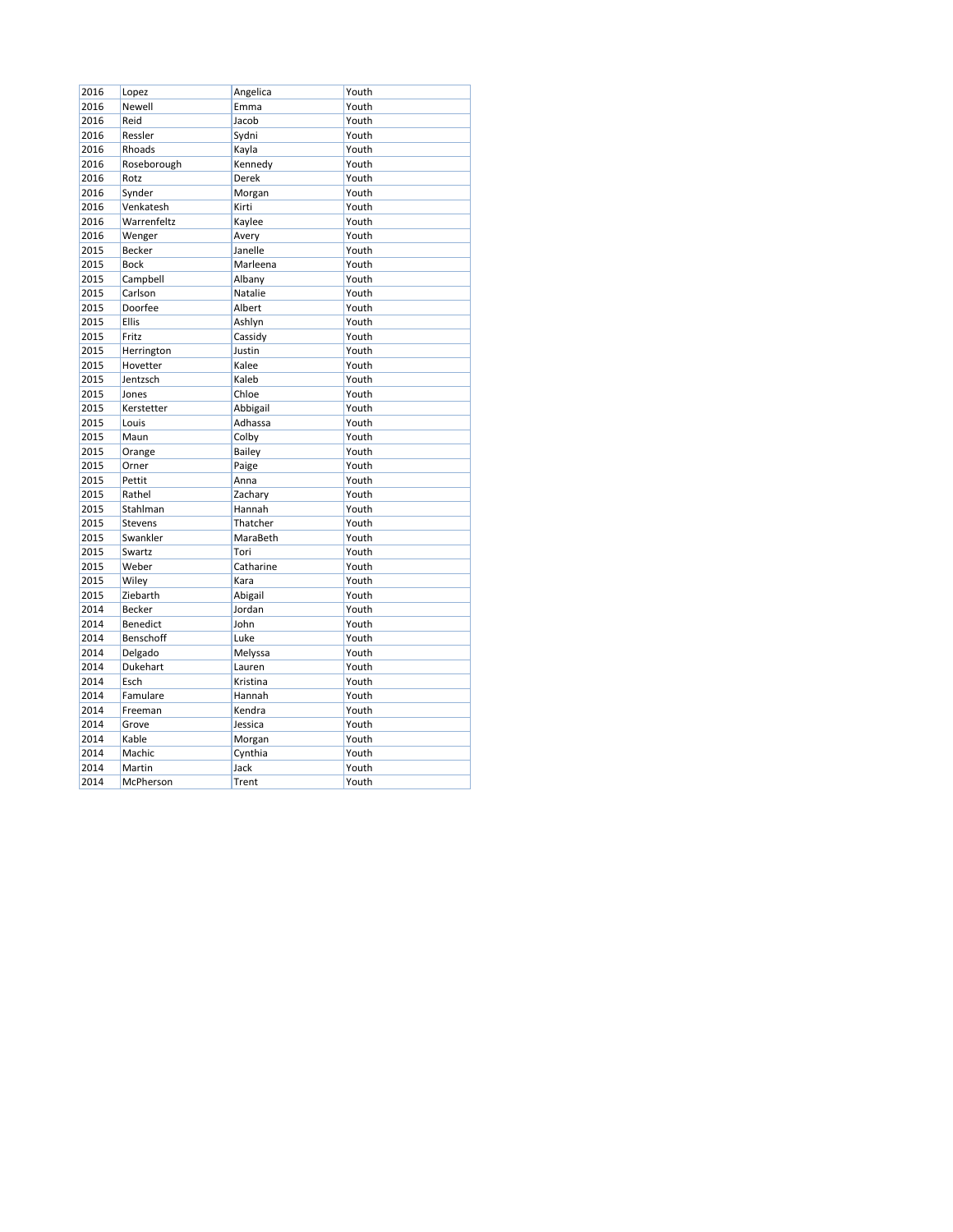| 2016 | Lopez          | Angelica  | Youth |
|------|----------------|-----------|-------|
| 2016 | Newell         | Emma      | Youth |
| 2016 | Reid           | Jacob     | Youth |
| 2016 | Ressler        | Sydni     | Youth |
| 2016 | Rhoads         | Kayla     | Youth |
| 2016 | Roseborough    | Kennedy   | Youth |
| 2016 | Rotz           | Derek     | Youth |
| 2016 | Synder         | Morgan    | Youth |
| 2016 | Venkatesh      | Kirti     | Youth |
| 2016 | Warrenfeltz    | Kaylee    | Youth |
| 2016 | Wenger         | Avery     | Youth |
| 2015 | Becker         | Janelle   | Youth |
| 2015 | <b>Bock</b>    | Marleena  | Youth |
| 2015 | Campbell       | Albany    | Youth |
| 2015 | Carlson        | Natalie   | Youth |
| 2015 | Doorfee        | Albert    | Youth |
| 2015 | <b>Ellis</b>   | Ashlyn    | Youth |
| 2015 | Fritz          | Cassidy   | Youth |
| 2015 | Herrington     | Justin    | Youth |
| 2015 | Hovetter       | Kalee     | Youth |
| 2015 | Jentzsch       | Kaleb     | Youth |
| 2015 | Jones          | Chloe     | Youth |
| 2015 | Kerstetter     | Abbigail  | Youth |
| 2015 | Louis          | Adhassa   | Youth |
| 2015 | Maun           | Colby     | Youth |
| 2015 | Orange         | Bailey    | Youth |
| 2015 | Orner          | Paige     | Youth |
| 2015 | Pettit         | Anna      | Youth |
| 2015 | Rathel         | Zachary   | Youth |
| 2015 | Stahlman       | Hannah    | Youth |
| 2015 | <b>Stevens</b> | Thatcher  | Youth |
| 2015 | Swankler       | MaraBeth  | Youth |
| 2015 | Swartz         | Tori      | Youth |
| 2015 | Weber          | Catharine | Youth |
| 2015 | Wiley          | Kara      | Youth |
| 2015 | Ziebarth       | Abigail   | Youth |
| 2014 | <b>Becker</b>  | Jordan    | Youth |
| 2014 | Benedict       | John      | Youth |
| 2014 | Benschoff      | Luke      | Youth |
| 2014 | Delgado        | Melyssa   | Youth |
| 2014 | Dukehart       | Lauren    | Youth |
| 2014 | Esch           | Kristina  | Youth |
| 2014 | Famulare       | Hannah    | Youth |
| 2014 | Freeman        | Kendra    | Youth |
| 2014 | Grove          | Jessica   | Youth |
| 2014 | Kable          | Morgan    | Youth |
| 2014 | Machic         | Cynthia   | Youth |
| 2014 | Martin         | Jack      | Youth |
| 2014 | McPherson      | Trent     | Youth |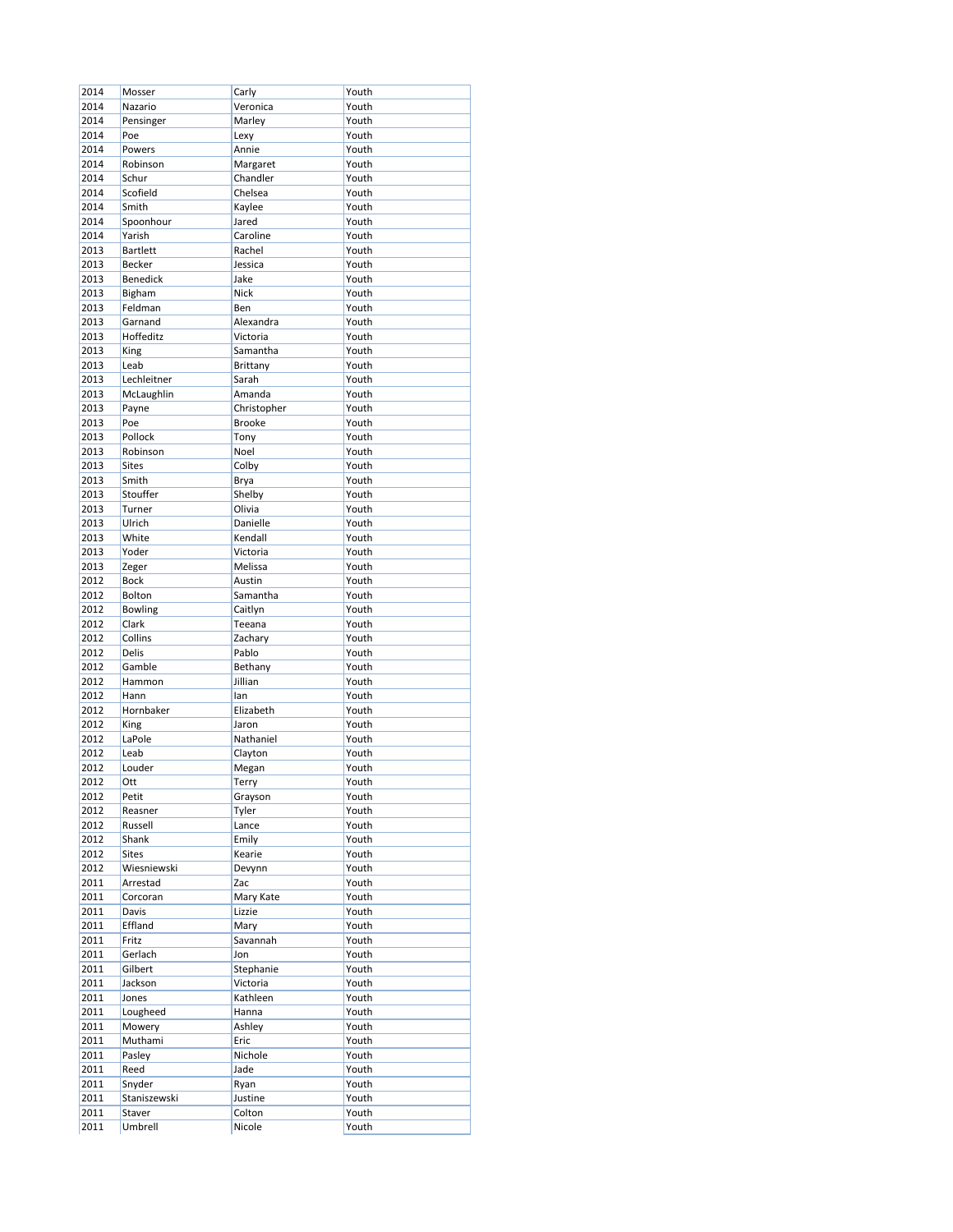| 2014         | Mosser                 | Carly             | Youth          |
|--------------|------------------------|-------------------|----------------|
| 2014         | Nazario                | Veronica          | Youth          |
| 2014         | Pensinger              | Marley            | Youth          |
| 2014         | Poe                    | Lexy              | Youth          |
| 2014         | Powers                 | Annie             | Youth          |
| 2014         | Robinson               |                   | Youth          |
|              |                        | Margaret          | Youth          |
| 2014         | Schur                  | Chandler          |                |
| 2014         | Scofield               | Chelsea           | Youth          |
| 2014         | Smith                  | Kaylee            | Youth          |
| 2014         | Spoonhour              | Jared             | Youth          |
| 2014         | Yarish                 | Caroline          | Youth          |
| 2013         | <b>Bartlett</b>        | Rachel            | Youth          |
| 2013         | Becker                 | Jessica           | Youth          |
| 2013         | <b>Benedick</b>        | Jake              | Youth          |
| 2013         | Bigham                 | <b>Nick</b>       | Youth          |
| 2013         | Feldman                | Ben               | Youth          |
| 2013         | Garnand                | Alexandra         | Youth          |
| 2013         | Hoffeditz              | Victoria          | Youth          |
| 2013         | King                   | Samantha          | Youth          |
| 2013         | Leab                   | <b>Brittany</b>   | Youth          |
| 2013         | Lechleitner            | Sarah             | Youth          |
| 2013         | McLaughlin             | Amanda            | Youth          |
| 2013         | Payne                  | Christopher       | Youth          |
| 2013         | Poe                    | <b>Brooke</b>     | Youth          |
| 2013         | Pollock                |                   | Youth          |
| 2013         |                        | Tony<br>Noel      | Youth          |
|              | Robinson               |                   |                |
| 2013         | <b>Sites</b>           | Colby             | Youth          |
| 2013         | Smith                  | Brya              | Youth          |
| 2013         | Stouffer               | Shelby            | Youth          |
| 2013         | Turner                 | Olivia            | Youth          |
| 2013         | Ulrich                 | Danielle          | Youth          |
| 2013         | White                  | Kendall           | Youth          |
| 2013         | Yoder                  | Victoria          | Youth          |
| 2013         | Zeger                  | Melissa           | Youth          |
| 2012         | <b>Bock</b>            | Austin            | Youth          |
| 2012         | Bolton                 | Samantha          | Youth          |
| 2012         | Bowling                | Caitlyn           | Youth          |
| 2012         | Clark                  | Teeana            | Youth          |
| 2012         | Collins                | Zachary           | Youth          |
| 2012         | <b>Delis</b>           | Pablo             | Youth          |
| 2012         | Gamble                 | Bethany           | Youth          |
|              |                        |                   |                |
| 2012         | Hammon                 | Jillian           | Youth          |
| 2012         | Hann                   | lan               | Youth          |
| 2012         | Hornbaker              | Elizabeth         | Youth          |
| 2012         | King                   | Jaron             | Youth          |
| 2012         | LaPole                 | Nathaniel         | Youth          |
| 2012         | Leab                   | Clayton           | Youth          |
| 2012         | Louder                 | Megan             | Youth          |
| 2012         | Ott                    | Terry             | Youth          |
| 2012         | Petit                  | Grayson           | Youth          |
| 2012         | Reasner                | Tyler             | Youth          |
| 2012         | Russell                | Lance             | Youth          |
| 2012         | Shank                  | Emily             | Youth          |
| 2012         | <b>Sites</b>           | Kearie            | Youth          |
| 2012         | Wiesniewski            | Devynn            | Youth          |
|              |                        |                   |                |
| 2011         | Arrestad               | Zac               | Youth          |
| 2011         | Corcoran               | Mary Kate         | Youth          |
| 2011         | Davis                  | Lizzie            | Youth          |
| 2011         | Effland                | Mary              | Youth          |
| 2011         | Fritz                  | Savannah          | Youth          |
| 2011         | Gerlach                | Jon               | Youth          |
| 2011         | Gilbert                | Stephanie         | Youth          |
| 2011         | Jackson                | Victoria          | Youth          |
| 2011         | Jones                  | Kathleen          | Youth          |
| 2011         | Lougheed               | Hanna             | Youth          |
| 2011         | Mowery                 | Ashley            | Youth          |
| 2011         | Muthami                | Eric              | Youth          |
| 2011         | Pasley                 | Nichole           | Youth          |
| 2011         | Reed                   | Jade              | Youth          |
|              |                        |                   | Youth          |
|              |                        |                   |                |
| 2011         | Snyder                 | Ryan              |                |
| 2011<br>2011 | Staniszewski<br>Staver | Justine<br>Colton | Youth<br>Youth |